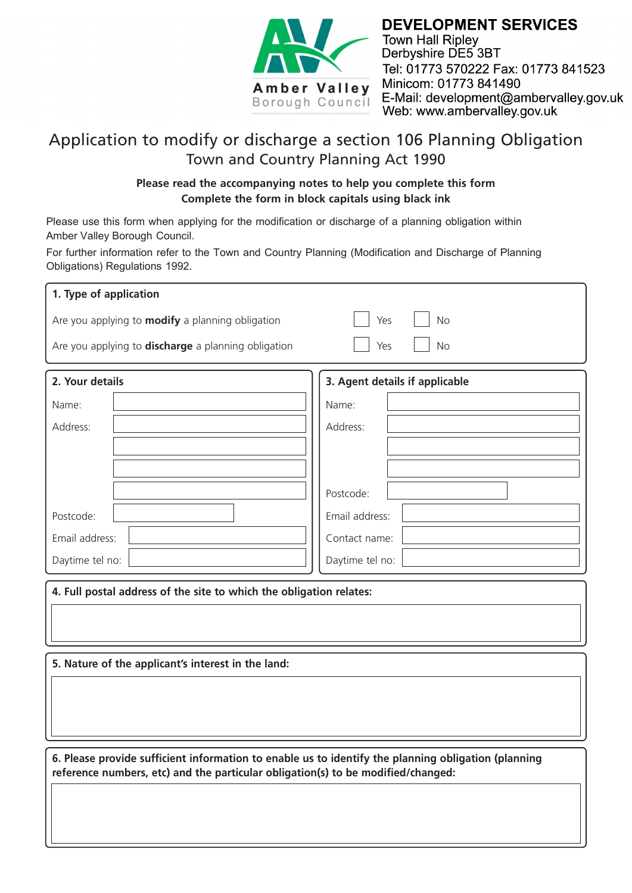

**DEVELOPMENT SERVICES Town Hall Ripley** Derbyshire DE5 3BT Tel: 01773 570222 Fax: 01773 841523 Minicom: 01773 841490 E-Mail: development@ambervalley.gov.uk Web: www.ambervalley.gov.uk

## Application to modify or discharge a section 106 Planning Obligation Town and Country Planning Act 1990

## **Please read the accompanying notes to help you complete this form Complete the form in block capitals using black ink**

Please use this form when applying for the modification or discharge of a planning obligation within Amber Valley Borough Council.

For further information refer to the Town and Country Planning (Modification and Discharge of Planning Obligations) Regulations 1992.

| 1. Type of application                                                                                                                                                                  |                                |  |  |  |  |  |  |
|-----------------------------------------------------------------------------------------------------------------------------------------------------------------------------------------|--------------------------------|--|--|--|--|--|--|
| Are you applying to <b>modify</b> a planning obligation                                                                                                                                 | Yes<br><b>No</b>               |  |  |  |  |  |  |
| Are you applying to discharge a planning obligation                                                                                                                                     | Yes<br><b>No</b>               |  |  |  |  |  |  |
| 2. Your details                                                                                                                                                                         | 3. Agent details if applicable |  |  |  |  |  |  |
| Name:                                                                                                                                                                                   | Name:                          |  |  |  |  |  |  |
| Address:                                                                                                                                                                                | Address:                       |  |  |  |  |  |  |
|                                                                                                                                                                                         |                                |  |  |  |  |  |  |
|                                                                                                                                                                                         |                                |  |  |  |  |  |  |
|                                                                                                                                                                                         | Postcode:                      |  |  |  |  |  |  |
| Postcode:                                                                                                                                                                               | Email address:                 |  |  |  |  |  |  |
| Email address:                                                                                                                                                                          | Contact name:                  |  |  |  |  |  |  |
| Daytime tel no:                                                                                                                                                                         | Daytime tel no:                |  |  |  |  |  |  |
| 4. Full postal address of the site to which the obligation relates:                                                                                                                     |                                |  |  |  |  |  |  |
| 5. Nature of the applicant's interest in the land:                                                                                                                                      |                                |  |  |  |  |  |  |
|                                                                                                                                                                                         |                                |  |  |  |  |  |  |
| 6. Please provide sufficient information to enable us to identify the planning obligation (planning<br>reference numbers, etc) and the particular obligation(s) to be modified/changed: |                                |  |  |  |  |  |  |